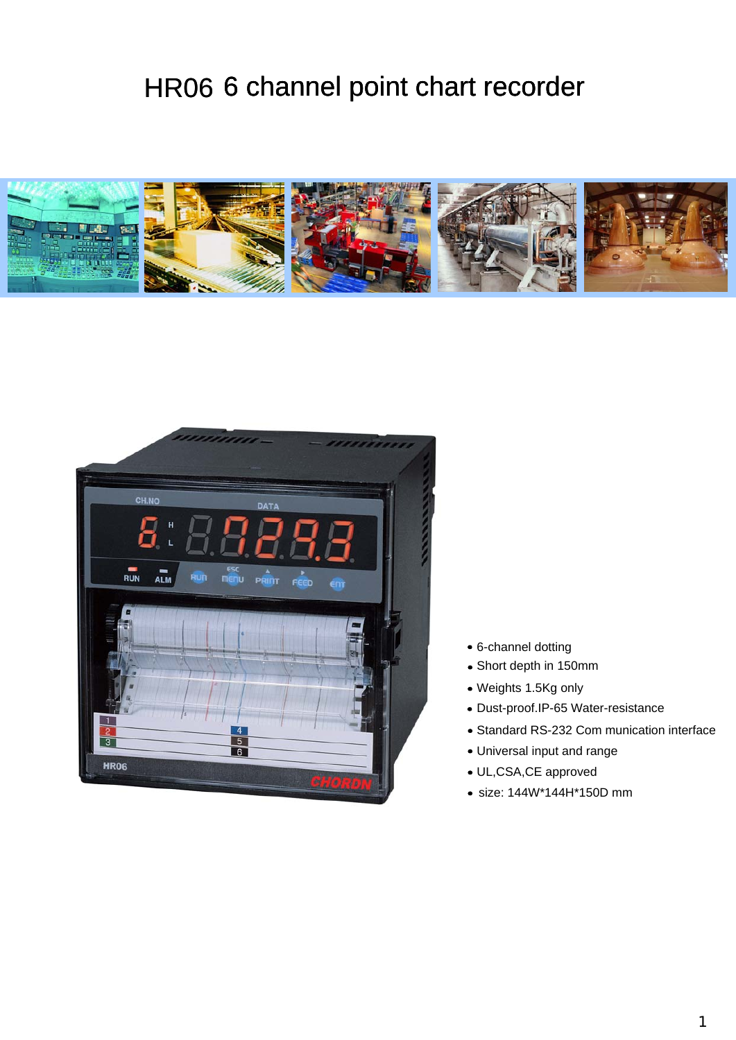# HR06 6 channel point chart recorder





- 6-channel dotting
- Short depth in 150mm
- Weights 1.5Kg only
- Dust-proof.IP-65 Water-resistance
- Standard RS-232 Com munication interface
- Universal input and range
- UL,CSA,CE approved
- size: 144W\*144H\*150D mm